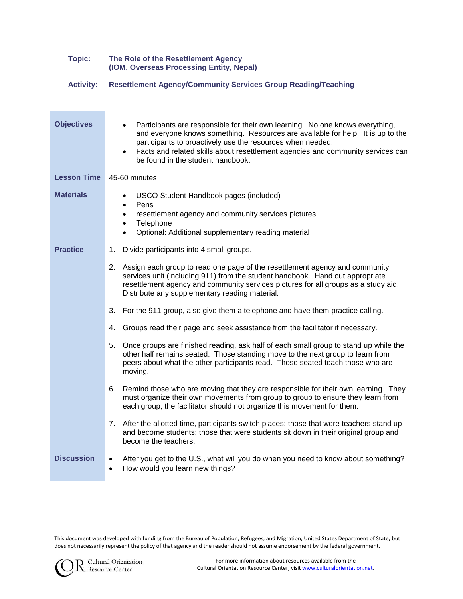#### **Topic: The Role of the Resettlement Agency (IOM, Overseas Processing Entity, Nepal)**

**Activity: Resettlement Agency/Community Services Group Reading/Teaching**

| <b>Objectives</b>  | Participants are responsible for their own learning. No one knows everything,<br>and everyone knows something. Resources are available for help. It is up to the<br>participants to proactively use the resources when needed.<br>Facts and related skills about resettlement agencies and community services can<br>$\bullet$<br>be found in the student handbook. |  |
|--------------------|---------------------------------------------------------------------------------------------------------------------------------------------------------------------------------------------------------------------------------------------------------------------------------------------------------------------------------------------------------------------|--|
| <b>Lesson Time</b> | 45-60 minutes                                                                                                                                                                                                                                                                                                                                                       |  |
| <b>Materials</b>   | <b>USCO Student Handbook pages (included)</b><br>Pens<br>$\bullet$<br>resettlement agency and community services pictures<br>$\bullet$<br>• Telephone<br>Optional: Additional supplementary reading material<br>$\bullet$                                                                                                                                           |  |
| <b>Practice</b>    | Divide participants into 4 small groups.<br>1.                                                                                                                                                                                                                                                                                                                      |  |
|                    | 2. Assign each group to read one page of the resettlement agency and community<br>services unit (including 911) from the student handbook. Hand out appropriate<br>resettlement agency and community services pictures for all groups as a study aid.<br>Distribute any supplementary reading material.                                                             |  |
|                    | 3. For the 911 group, also give them a telephone and have them practice calling.                                                                                                                                                                                                                                                                                    |  |
|                    | 4. Groups read their page and seek assistance from the facilitator if necessary.                                                                                                                                                                                                                                                                                    |  |
|                    | 5.<br>Once groups are finished reading, ask half of each small group to stand up while the<br>other half remains seated. Those standing move to the next group to learn from<br>peers about what the other participants read. Those seated teach those who are<br>moving.                                                                                           |  |
|                    | 6. Remind those who are moving that they are responsible for their own learning. They<br>must organize their own movements from group to group to ensure they learn from<br>each group; the facilitator should not organize this movement for them.                                                                                                                 |  |
|                    | 7. After the allotted time, participants switch places: those that were teachers stand up<br>and become students; those that were students sit down in their original group and<br>become the teachers.                                                                                                                                                             |  |
| <b>Discussion</b>  | After you get to the U.S., what will you do when you need to know about something?<br>$\bullet$<br>How would you learn new things?<br>$\bullet$                                                                                                                                                                                                                     |  |

This document was developed with funding from the Bureau of Population, Refugees, and Migration, United States Department of State, but does not necessarily represent the policy of that agency and the reader should not assume endorsement by the federal government.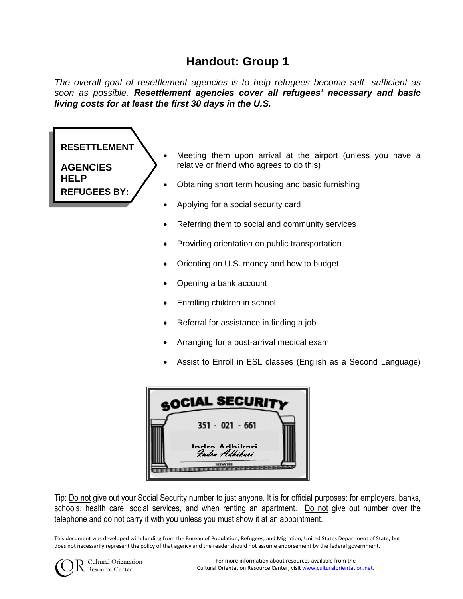## **Handout: Group 1**

*The overall goal of resettlement agencies is to help refugees become self -sufficient as soon as possible. Resettlement agencies cover all refugees' necessary and basic living costs for at least the first 30 days in the U.S.* 

## Meeting them upon arrival at the airport (unless you have a relative or friend who agrees to do this) • Obtaining short term housing and basic furnishing Applying for a social security card Referring them to social and community services Providing orientation on public transportation Orienting on U.S. money and how to budget Opening a bank account Enrolling children in school Referral for assistance in finding a job Arranging for a post-arrival medical exam **RESETTLEMENT AGENCIES HELP REFUGEES BY:**

Assist to Enroll in ESL classes (English as a Second Language)

| <b>SOCIAL SECURITY</b> |                                  |
|------------------------|----------------------------------|
|                        | $351 - 021 - 661$                |
|                        | Indra Adhikari<br>Indra Adhikari |
|                        | <b>SECURITIES</b>                |

Tip: Do not give out your Social Security number to just anyone. It is for official purposes: for employers, banks, schools, health care, social services, and when renting an apartment. Do not give out number over the telephone and do not carry it with you unless you must show it at an appointment.

This document was developed with funding from the Bureau of Population, Refugees, and Migration, United States Department of State, but does not necessarily represent the policy of that agency and the reader should not assume endorsement by the federal government.



Cultural Orientation Resource Center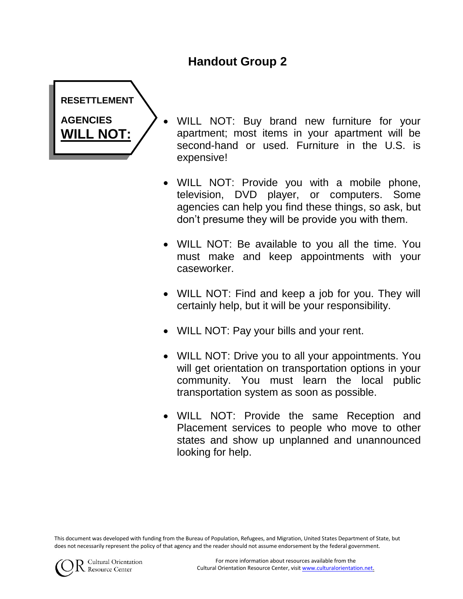## **Handout Group 2**



- WILL NOT: Buy brand new furniture for your apartment; most items in your apartment will be second-hand or used. Furniture in the U.S. is expensive!
- WILL NOT: Provide you with a mobile phone, television, DVD player, or computers. Some agencies can help you find these things, so ask, but don't presume they will be provide you with them.
- WILL NOT: Be available to you all the time. You must make and keep appointments with your caseworker.
- WILL NOT: Find and keep a job for you. They will certainly help, but it will be your responsibility.
- WILL NOT: Pay your bills and your rent.
- WILL NOT: Drive you to all your appointments. You will get orientation on transportation options in your community. You must learn the local public transportation system as soon as possible.
- WILL NOT: Provide the same Reception and Placement services to people who move to other states and show up unplanned and unannounced looking for help.

This document was developed with funding from the Bureau of Population, Refugees, and Migration, United States Department of State, but does not necessarily represent the policy of that agency and the reader should not assume endorsement by the federal government.

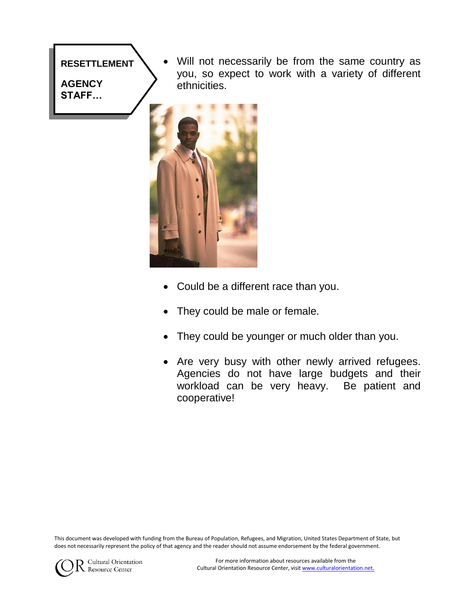### **RESETTLEMENT**

**AGENCY STAFF…**

 Will not necessarily be from the same country as you, so expect to work with a variety of different ethnicities.



- Could be a different race than you.
- They could be male or female.
- They could be younger or much older than you.
- Are very busy with other newly arrived refugees. Agencies do not have large budgets and their workload can be very heavy. Be patient and cooperative!

This document was developed with funding from the Bureau of Population, Refugees, and Migration, United States Department of State, but does not necessarily represent the policy of that agency and the reader should not assume endorsement by the federal government.

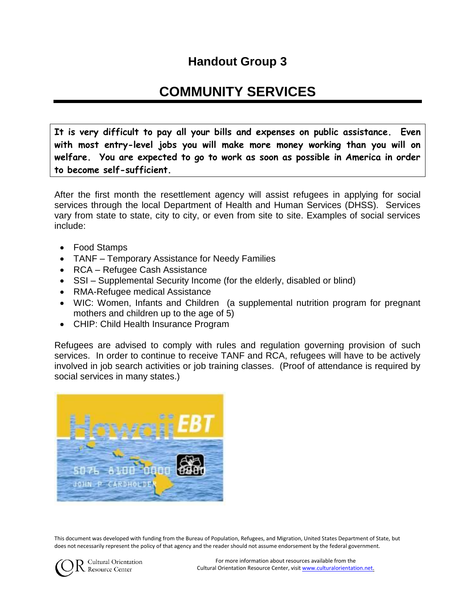## **Handout Group 3**

# **COMMUNITY SERVICES**

**It is very difficult to pay all your bills and expenses on public assistance. Even with most entry-level jobs you will make more money working than you will on welfare. You are expected to go to work as soon as possible in America in order to become self-sufficient.**

After the first month the resettlement agency will assist refugees in applying for social services through the local Department of Health and Human Services (DHSS). Services vary from state to state, city to city, or even from site to site. Examples of social services include:

- Food Stamps
- TANF Temporary Assistance for Needy Families
- RCA Refugee Cash Assistance
- SSI Supplemental Security Income (for the elderly, disabled or blind)
- RMA-Refugee medical Assistance
- WIC: Women, Infants and Children (a supplemental nutrition program for pregnant mothers and children up to the age of 5)
- CHIP: Child Health Insurance Program

Refugees are advised to comply with rules and regulation governing provision of such services. In order to continue to receive TANF and RCA, refugees will have to be actively involved in job search activities or job training classes. (Proof of attendance is required by social services in many states.)



This document was developed with funding from the Bureau of Population, Refugees, and Migration, United States Department of State, but does not necessarily represent the policy of that agency and the reader should not assume endorsement by the federal government.



Cultural Orientation Resource Center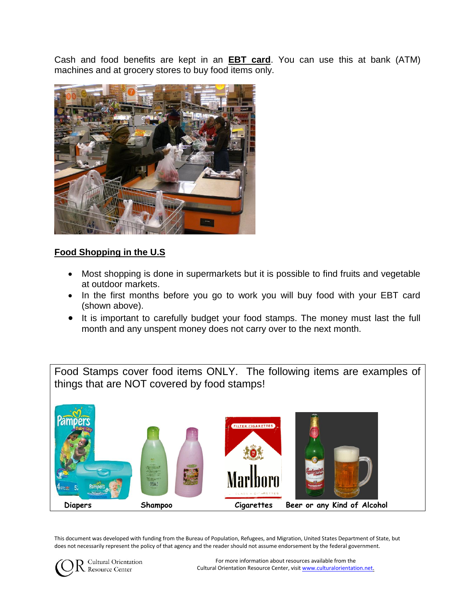Cash and food benefits are kept in an **EBT card**. You can use this at bank (ATM) machines and at grocery stores to buy food items only.



### **Food Shopping in the U.S**

- Most shopping is done in supermarkets but it is possible to find fruits and vegetable at outdoor markets.
- In the first months before you go to work you will buy food with your EBT card (shown above).
- It is important to carefully budget your food stamps. The money must last the full month and any unspent money does not carry over to the next month.

Food Stamps cover food items ONLY. The following items are examples of things that are NOT covered by food stamps!



This document was developed with funding from the Bureau of Population, Refugees, and Migration, United States Department of State, but does not necessarily represent the policy of that agency and the reader should not assume endorsement by the federal government.



Cultural Orientation Resource Center

For more information about resources available from the Cultural Orientation Resource Center, visit www.culturalorientation.net.